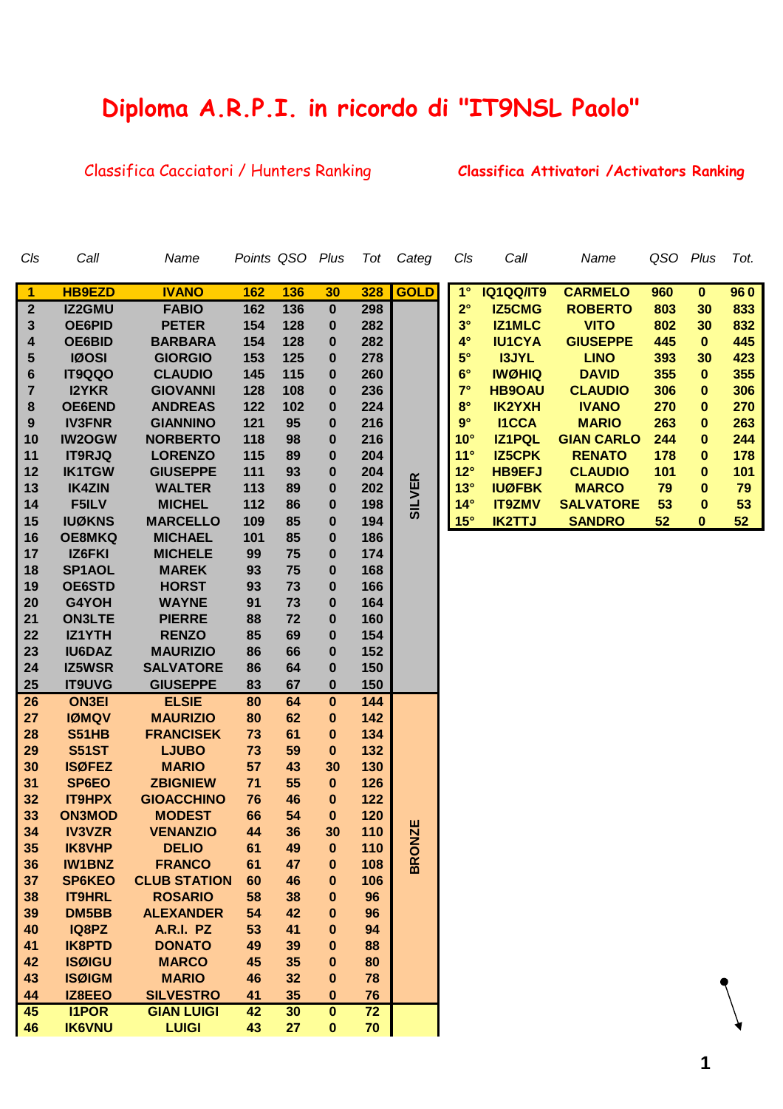## **Diploma A.R.P.I. in ricordo di "IT9NSL Paolo"**

## Classifica Cacciatori / Hunters Ranking **Classifica Attivatori /Activators Ranking**

| Cls                     | Call          | Name                | Points QSO |     | Plus                    | Tot | Categ         | Cls          | Call             | Name              | QSO Plus |              | Tot. |
|-------------------------|---------------|---------------------|------------|-----|-------------------------|-----|---------------|--------------|------------------|-------------------|----------|--------------|------|
| $\overline{1}$          | <b>HB9EZD</b> | <b>IVANO</b>        | 162        | 136 | 30                      | 328 | <b>GOLD</b>   | $1^{\circ}$  | <b>IQ1QQ/IT9</b> | <b>CARMELO</b>    | 960      | $\mathbf{0}$ | 960  |
| $\boldsymbol{2}$        | <b>IZ2GMU</b> | <b>FABIO</b>        | 162        | 136 | $\pmb{0}$               | 298 |               | $2^{\circ}$  | <b>IZ5CMG</b>    | <b>ROBERTO</b>    | 803      | 30           | 833  |
| 3                       | <b>OE6PID</b> | <b>PETER</b>        | 154        | 128 | $\boldsymbol{0}$        | 282 |               | $3^\circ$    | <b>IZ1MLC</b>    | <b>VITO</b>       | 802      | 30           | 832  |
| 4                       | OE6BID        | <b>BARBARA</b>      | 154        | 128 | $\bf{0}$                | 282 |               | $4^\circ$    | <b>IU1CYA</b>    | <b>GIUSEPPE</b>   | 445      | $\mathbf{0}$ | 445  |
| 5                       | <b>IØOSI</b>  | <b>GIORGIO</b>      | 153        | 125 | $\boldsymbol{0}$        | 278 |               | $5^{\circ}$  | <b>I3JYL</b>     | <b>LINO</b>       | 393      | 30           | 423  |
| 6                       | <b>IT9QQO</b> | <b>CLAUDIO</b>      | 145        | 115 | 0                       | 260 |               | $6^{\circ}$  | <b>IWØHIQ</b>    | <b>DAVID</b>      | 355      | $\mathbf{0}$ | 355  |
| $\overline{\mathbf{r}}$ | <b>I2YKR</b>  | <b>GIOVANNI</b>     | 128        | 108 | 0                       | 236 |               | $7^\circ$    | <b>HB9OAU</b>    | <b>CLAUDIO</b>    | 306      | $\bf{0}$     | 306  |
| 8                       | <b>OE6END</b> | <b>ANDREAS</b>      | 122        | 102 | 0                       | 224 |               | $8^\circ$    | <b>IK2YXH</b>    | <b>IVANO</b>      | 270      | $\bf{0}$     | 270  |
| 9                       | <b>IV3FNR</b> | <b>GIANNINO</b>     | 121        | 95  | $\boldsymbol{0}$        | 216 |               | $9^\circ$    | <b>I1CCA</b>     | <b>MARIO</b>      | 263      | $\bf{0}$     | 263  |
| 10                      | <b>IW2OGW</b> | <b>NORBERTO</b>     | 118        | 98  | $\bf{0}$                | 216 |               | $10^{\circ}$ | <b>IZ1PQL</b>    | <b>GIAN CARLO</b> | 244      | $\bf{0}$     | 244  |
| 11                      | <b>IT9RJQ</b> | <b>LORENZO</b>      | 115        | 89  | 0                       | 204 |               | 11°          | <b>IZ5CPK</b>    | <b>RENATO</b>     | 178      | $\bf{0}$     | 178  |
| 12                      | <b>IK1TGW</b> | <b>GIUSEPPE</b>     | 111        | 93  | $\bf{0}$                | 204 |               | $12^\circ$   | <b>HB9EFJ</b>    | <b>CLAUDIO</b>    | 101      | $\bf{0}$     | 101  |
| 13                      | <b>IK4ZIN</b> | <b>WALTER</b>       | 113        | 89  | $\bf{0}$                | 202 |               | $13^\circ$   | <b>IUØFBK</b>    | <b>MARCO</b>      | 79       | $\bf{0}$     | 79   |
| 14                      | F5ILV         | <b>MICHEL</b>       | 112        | 86  | $\bf{0}$                | 198 | <b>SILVER</b> | $14^\circ$   | <b>IT9ZMV</b>    | <b>SALVATORE</b>  | 53       | $\bf{0}$     | 53   |
| 15                      | <b>IUØKNS</b> | <b>MARCELLO</b>     | 109        | 85  | $\bf{0}$                | 194 |               | $15^\circ$   | <b>IK2TTJ</b>    | <b>SANDRO</b>     | 52       | $\mathbf{0}$ | 52   |
| 16                      | <b>OE8MKQ</b> | <b>MICHAEL</b>      | 101        | 85  | $\boldsymbol{0}$        | 186 |               |              |                  |                   |          |              |      |
| 17                      | IZ6FKI        | <b>MICHELE</b>      | 99         | 75  | $\boldsymbol{0}$        | 174 |               |              |                  |                   |          |              |      |
| 18                      | SP1AOL        | <b>MAREK</b>        | 93         | 75  | $\bf{0}$                | 168 |               |              |                  |                   |          |              |      |
| 19                      | <b>OE6STD</b> | <b>HORST</b>        | 93         | 73  | $\boldsymbol{0}$        | 166 |               |              |                  |                   |          |              |      |
| 20                      | G4YOH         | <b>WAYNE</b>        | 91         | 73  | $\boldsymbol{0}$        | 164 |               |              |                  |                   |          |              |      |
| 21                      | <b>ON3LTE</b> | <b>PIERRE</b>       | 88         | 72  | $\bf{0}$                | 160 |               |              |                  |                   |          |              |      |
| 22                      | IZ1YTH        | <b>RENZO</b>        | 85         | 69  | 0                       | 154 |               |              |                  |                   |          |              |      |
| 23                      | <b>IU6DAZ</b> | <b>MAURIZIO</b>     | 86         | 66  | $\bf{0}$                | 152 |               |              |                  |                   |          |              |      |
| 24                      | <b>IZ5WSR</b> | <b>SALVATORE</b>    | 86         | 64  | $\bf{0}$                | 150 |               |              |                  |                   |          |              |      |
| 25                      | <b>IT9UVG</b> | <b>GIUSEPPE</b>     | 83         | 67  | $\pmb{0}$               | 150 |               |              |                  |                   |          |              |      |
| 26                      | <b>ON3EI</b>  | <b>ELSIE</b>        | 80         | 64  | $\overline{\mathbf{0}}$ | 144 |               |              |                  |                   |          |              |      |
| 27                      | <b>IØMQV</b>  | <b>MAURIZIO</b>     | 80         | 62  | $\pmb{0}$               | 142 |               |              |                  |                   |          |              |      |
| 28                      | <b>S51HB</b>  | <b>FRANCISEK</b>    | 73         | 61  | $\pmb{0}$               | 134 |               |              |                  |                   |          |              |      |
| 29                      | <b>S51ST</b>  | <b>LJUBO</b>        | 73         | 59  | $\pmb{0}$               | 132 |               |              |                  |                   |          |              |      |
| 30                      | <b>ISØFEZ</b> | <b>MARIO</b>        | 57         | 43  | 30                      | 130 |               |              |                  |                   |          |              |      |
| 31                      | SP6EO         | <b>ZBIGNIEW</b>     | 71         | 55  | $\pmb{0}$               | 126 |               |              |                  |                   |          |              |      |
| 32                      | <b>IT9HPX</b> | <b>GIOACCHINO</b>   | 76         | 46  | $\pmb{0}$               | 122 |               |              |                  |                   |          |              |      |
| 33                      | <b>ON3MOD</b> | <b>MODEST</b>       | 66         | 54  | $\bf{0}$                | 120 |               |              |                  |                   |          |              |      |
| 34                      | <b>IV3VZR</b> | <b>VENANZIO</b>     | 44         | 36  | 30                      | 110 | <b>NZE</b>    |              |                  |                   |          |              |      |
| 35                      | IK8VHP        | <b>DELIO</b>        | 61         | 49  | $\boldsymbol{0}$        | 110 |               |              |                  |                   |          |              |      |
| 36                      | <b>IW1BNZ</b> | <b>FRANCO</b>       | 61         | 47  | 0                       | 108 | <b>BROI</b>   |              |                  |                   |          |              |      |
| 37                      | <b>SP6KEO</b> | <b>CLUB STATION</b> | 60         | 46  | 0                       | 106 |               |              |                  |                   |          |              |      |
| 38                      | <b>IT9HRL</b> | <b>ROSARIO</b>      | 58         | 38  | 0                       | 96  |               |              |                  |                   |          |              |      |
| 39                      | DM5BB         | <b>ALEXANDER</b>    | 54         | 42  | 0                       | 96  |               |              |                  |                   |          |              |      |
| 40                      | IQ8PZ         | A.R.I. PZ           | 53         | 41  | 0                       | 94  |               |              |                  |                   |          |              |      |
| 41                      | <b>IK8PTD</b> | <b>DONATO</b>       | 49         | 39  | 0                       | 88  |               |              |                  |                   |          |              |      |
| 42                      | <b>ISØIGU</b> | <b>MARCO</b>        | 45         | 35  | $\bf{0}$                | 80  |               |              |                  |                   |          |              |      |
| 43                      | <b>ISØIGM</b> | <b>MARIO</b>        | 46         | 32  | $\bf{0}$                | 78  |               |              |                  |                   |          |              |      |
| 44                      | IZ8EEO        | <b>SILVESTRO</b>    | 41         | 35  | 0                       | 76  |               |              |                  |                   |          |              |      |
| 45                      | <b>I1POR</b>  | <b>GIAN LUIGI</b>   | 42         | 30  | $\pmb{0}$               | 72  |               |              |                  |                   |          |              |      |
| 46                      | <b>IK6VNU</b> | <b>LUIGI</b>        | 43         | 27  | 0                       | 70  |               |              |                  |                   |          |              |      |